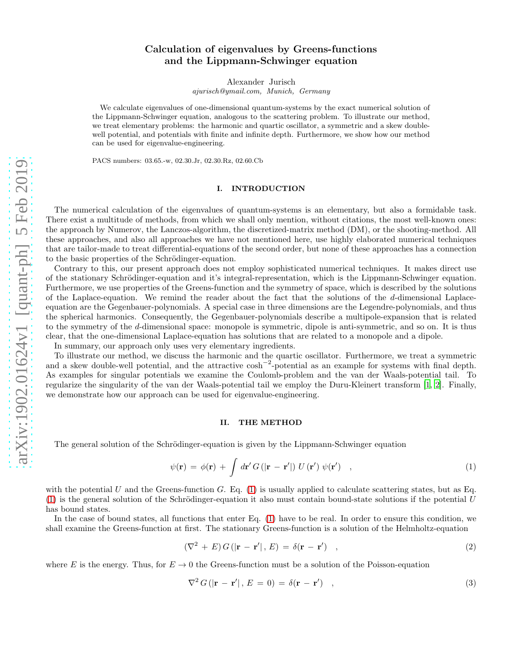# Calculation of eigenvalues by Greens-functions and the Lippmann-Schwinger equation

Alexander Jurisch

ajurisch@ymail.com, Munich, Germany

We calculate eigenvalues of one-dimensional quantum-systems by the exact numerical solution of the Lippmann-Schwinger equation, analogous to the scattering problem. To illustrate our method, we treat elementary problems: the harmonic and quartic oscillator, a symmetric and a skew doublewell potential, and potentials with finite and infinite depth. Furthermore, we show how our method can be used for eigenvalue-engineering.

PACS numbers: 03.65.-w, 02.30.Jr, 02.30.Rz, 02.60.Cb

# I. INTRODUCTION

The numerical calculation of the eigenvalues of quantum-systems is an elementary, but also a formidable task. There exist a multitude of methods, from which we shall only mention, without citations, the most well-known ones: the approach by Numerov, the Lanczos-algorithm, the discretized-matrix method (DM), or the shooting-method. All these approaches, and also all approaches we have not mentioned here, use highly elaborated numerical techniques that are tailor-made to treat differential-equations of the second order, but none of these approaches has a connection to the basic properties of the Schrödinger-equation.

Contrary to this, our present approach does not employ sophisticated numerical techniques. It makes direct use of the stationary Schrödinger-equation and it's integral-representation, which is the Lippmann-Schwinger equation. Furthermore, we use properties of the Greens-function and the symmetry of space, which is described by the solutions of the Laplace-equation. We remind the reader about the fact that the solutions of the d-dimensional Laplaceequation are the Gegenbauer-polynomials. A special case in three dimensions are the Legendre-polynomials, and thus the spherical harmonics. Consequently, the Gegenbauer-polynomials describe a multipole-expansion that is related to the symmetry of the d-dimensional space: monopole is symmetric, dipole is anti-symmetric, and so on. It is thus clear, that the one-dimensional Laplace-equation has solutions that are related to a monopole and a dipole.

In summary, our approach only uses very elementary ingredients.

To illustrate our method, we discuss the harmonic and the quartic oscillator. Furthermore, we treat a symmetric and a skew double-well potential, and the attractive  $\cosh^{-2}$ -potential as an example for systems with final depth. As examples for singular potentials we examine the Coulomb-problem and the van der Waals-potential tail. To regularize the singularity of the van der Waals-potential tail we employ the Duru-Kleinert transform [\[1](#page-6-0), [2\]](#page-7-0). Finally, we demonstrate how our approach can be used for eigenvalue-engineering.

### II. THE METHOD

The general solution of the Schrödinger-equation is given by the Lippmann-Schwinger equation

<span id="page-0-0"></span>
$$
\psi(\mathbf{r}) = \phi(\mathbf{r}) + \int d\mathbf{r}' G(|\mathbf{r} - \mathbf{r}'|) U(\mathbf{r}') \psi(\mathbf{r}') , \qquad (1)
$$

with the potential U and the Greens-function G. Eq.  $(1)$  is usually applied to calculate scattering states, but as Eq.  $(1)$  is the general solution of the Schrödinger-equation it also must contain bound-state solutions if the potential U has bound states.

In the case of bound states, all functions that enter Eq. [\(1\)](#page-0-0) have to be real. In order to ensure this condition, we shall examine the Greens-function at first. The stationary Greens-function is a solution of the Helmholtz-equation

$$
(\nabla^2 + E) G(|\mathbf{r} - \mathbf{r}'|, E) = \delta(\mathbf{r} - \mathbf{r}') \quad , \tag{2}
$$

where E is the energy. Thus, for  $E \to 0$  the Greens-function must be a solution of the Poisson-equation

$$
\nabla^2 G(|\mathbf{r} - \mathbf{r}'|, E = 0) = \delta(\mathbf{r} - \mathbf{r}') \quad , \tag{3}
$$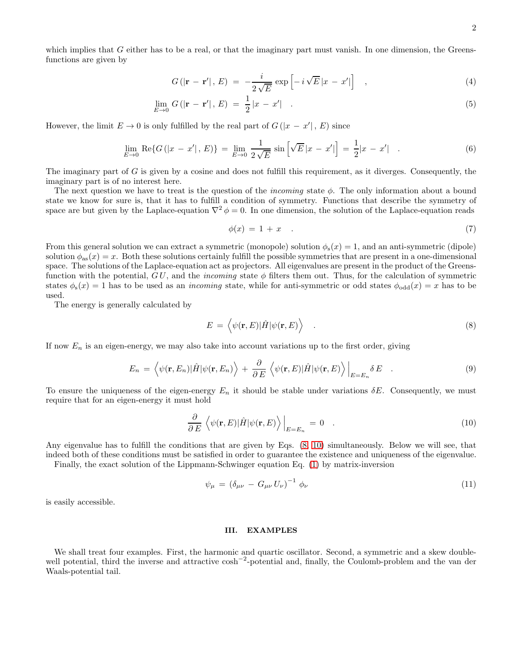which implies that  $G$  either has to be a real, or that the imaginary part must vanish. In one dimension, the Greensfunctions are given by

$$
G(|\mathbf{r} - \mathbf{r}'|, E) = -\frac{i}{2\sqrt{E}} \exp\left[-i\sqrt{E}|x - x'|\right], \qquad (4)
$$

$$
\lim_{E \to 0} G(|\mathbf{r} - \mathbf{r}'|, E) = \frac{1}{2}|x - x'| \quad . \tag{5}
$$

However, the limit  $E \to 0$  is only fulfilled by the real part of  $G(|x - x'|, E)$  since

$$
\lim_{E \to 0} \text{Re}\{G(|x - x'|, E)\} = \lim_{E \to 0} \frac{1}{2\sqrt{E}} \sin\left[\sqrt{E}|x - x'|\right] = \frac{1}{2}|x - x'| \quad . \tag{6}
$$

The imaginary part of  $G$  is given by a cosine and does not fulfill this requirement, as it diverges. Consequently, the imaginary part is of no interest here.

The next question we have to treat is the question of the *incoming* state  $\phi$ . The only information about a bound state we know for sure is, that it has to fulfill a condition of symmetry. Functions that describe the symmetry of space are but given by the Laplace-equation  $\nabla^2 \phi = 0$ . In one dimension, the solution of the Laplace-equation reads

$$
\phi(x) = 1 + x \tag{7}
$$

From this general solution we can extract a symmetric (monopole) solution  $\phi_s(x) = 1$ , and an anti-symmetric (dipole) solution  $\phi_{as}(x) = x$ . Both these solutions certainly fulfill the possible symmetries that are present in a one-dimensional space. The solutions of the Laplace-equation act as projectors. All eigenvalues are present in the product of the Greensfunction with the potential,  $GU$ , and the *incoming* state  $\phi$  filters them out. Thus, for the calculation of symmetric states  $\phi_s(x) = 1$  has to be used as an *incoming* state, while for anti-symmetric or odd states  $\phi_{odd}(x) = x$  has to be used.

The energy is generally calculated by

<span id="page-1-0"></span>
$$
E = \left\langle \psi(\mathbf{r}, E) | \hat{H} | \psi(\mathbf{r}, E) \right\rangle \tag{8}
$$

If now  $E_n$  is an eigen-energy, we may also take into account variations up to the first order, giving

$$
E_n = \left\langle \psi(\mathbf{r}, E_n) | \hat{H} | \psi(\mathbf{r}, E_n) \right\rangle + \frac{\partial}{\partial E} \left\langle \psi(\mathbf{r}, E) | \hat{H} | \psi(\mathbf{r}, E) \right\rangle \Big|_{E=E_n} \delta E \quad . \tag{9}
$$

To ensure the uniqueness of the eigen-energy  $E_n$  it should be stable under variations  $\delta E$ . Consequently, we must require that for an eigen-energy it must hold

<span id="page-1-1"></span>
$$
\frac{\partial}{\partial E} \left\langle \psi(\mathbf{r}, E) | \hat{H} | \psi(\mathbf{r}, E) \right\rangle \Big|_{E = E_n} = 0 \quad . \tag{10}
$$

Any eigenvalue has to fulfill the conditions that are given by Eqs. [\(8,](#page-1-0) [10\)](#page-1-1) simultaneously. Below we will see, that indeed both of these conditions must be satisfied in order to guarantee the existence and uniqueness of the eigenvalue.

Finally, the exact solution of the Lippmann-Schwinger equation Eq. [\(1\)](#page-0-0) by matrix-inversion

$$
\psi_{\mu} = (\delta_{\mu\nu} - G_{\mu\nu} U_{\nu})^{-1} \phi_{\nu} \tag{11}
$$

is easily accessible.

# III. EXAMPLES

We shall treat four examples. First, the harmonic and quartic oscillator. Second, a symmetric and a skew doublewell potential, third the inverse and attractive cosh<sup>-2</sup>-potential and, finally, the Coulomb-problem and the van der Waals-potential tail.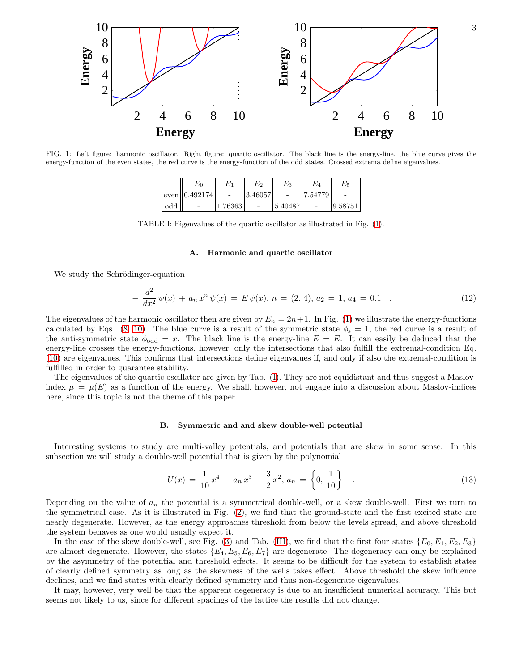

<span id="page-2-0"></span>FIG. 1: Left figure: harmonic oscillator. Right figure: quartic oscillator. The black line is the energy-line, the blue curve gives the energy-function of the even states, the red curve is the energy-function of the odd states. Crossed extrema define eigenvalues.

|     | $E_{0}$          | $\scriptstyle E_1$       | $\scriptstyle E_2$ | $E_{3}$  | E4      | $E_{\rm 5}$ |
|-----|------------------|--------------------------|--------------------|----------|---------|-------------|
|     | even    0.492174 | $\overline{\phantom{0}}$ | 3.46057            | $\equiv$ | 7.54779 |             |
| odd |                  | 1.76363                  |                    | 5.40487  |         | 9.58751     |

TABLE I: Eigenvalues of the quartic oscillator as illustrated in Fig. [\(1\)](#page-2-0).

### <span id="page-2-1"></span>A. Harmonic and quartic oscillator

We study the Schrödinger-equation

$$
-\frac{d^2}{dx^2}\psi(x) + a_n x^n \psi(x) = E \psi(x), \quad n = (2, 4), \quad a_2 = 1, \quad a_4 = 0.1 \quad . \tag{12}
$$

The eigenvalues of the harmonic oscillator then are given by  $E_n = 2n+1$ . In Fig. [\(1\)](#page-2-0) we illustrate the energy-functions calculated by Eqs. [\(8,](#page-1-0) [10\)](#page-1-1). The blue curve is a result of the symmetric state  $\phi_s = 1$ , the red curve is a result of the anti-symmetric state  $\phi_{odd} = x$ . The black line is the energy-line  $E = E$ . It can easily be deduced that the energy-line crosses the energy-functions, however, only the intersections that also fulfill the extremal-condition Eq. [\(10\)](#page-1-1) are eigenvalues. This confirms that intersections define eigenvalues if, and only if also the extremal-condition is fulfilled in order to guarantee stability.

The eigenvalues of the quartic oscillator are given by Tab. [\(I\)](#page-2-1). They are not equidistant and thus suggest a Maslovindex  $\mu = \mu(E)$  as a function of the energy. We shall, however, not engage into a discussion about Maslov-indices here, since this topic is not the theme of this paper.

# B. Symmetric and and skew double-well potential

Interesting systems to study are multi-valley potentials, and potentials that are skew in some sense. In this subsection we will study a double-well potential that is given by the polynomial

<span id="page-2-2"></span>
$$
U(x) = \frac{1}{10}x^4 - a_n x^3 - \frac{3}{2}x^2, a_n = \left\{0, \frac{1}{10}\right\} \tag{13}
$$

Depending on the value of  $a_n$  the potential is a symmetrical double-well, or a skew double-well. First we turn to the symmetrical case. As it is illustrated in Fig. [\(2\)](#page-3-0), we find that the ground-state and the first excited state are nearly degenerate. However, as the energy approaches threshold from below the levels spread, and above threshold the system behaves as one would usually expect it.

In the case of the skew double-well, see Fig. [\(3\)](#page-3-1) and Tab. [\(III\)](#page-3-2), we find that the first four states  $\{E_0, E_1, E_2, E_3\}$ are almost degenerate. However, the states  ${E_4, E_5, E_6, E_7}$  are degenerate. The degeneracy can only be explained by the asymmetry of the potential and threshold effects. It seems to be difficult for the system to establish states of clearly defined symmetry as long as the skewness of the wells takes effect. Above threshold the skew influence declines, and we find states with clearly defined symmetry and thus non-degenerate eigenvalues.

It may, however, very well be that the apparent degeneracy is due to an insufficient numerical accuracy. This but seems not likely to us, since for different spacings of the lattice the results did not change.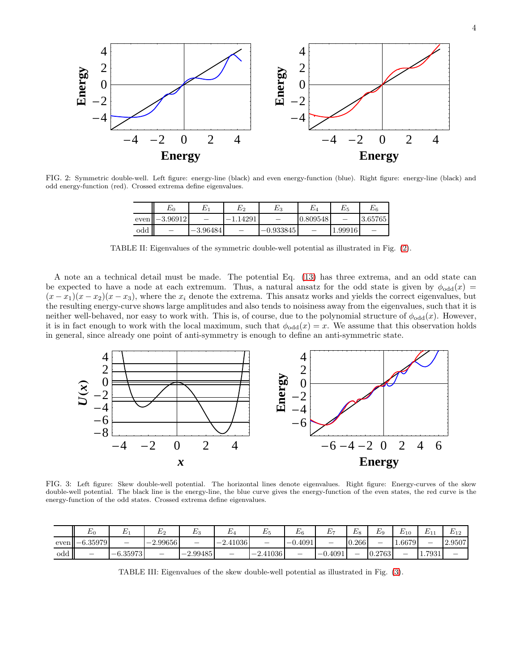

<span id="page-3-0"></span>FIG. 2: Symmetric double-well. Left figure: energy-line (black) and even energy-function (blue). Right figure: energy-line (black) and odd energy-function (red). Crossed extrema define eigenvalues.

|           | $E_{0}$                  |            | $E_{2}$    | $E_{3}$                  | E4       | $E_{\rm 5}$ | $E_{\rm 6}$ |
|-----------|--------------------------|------------|------------|--------------------------|----------|-------------|-------------|
| even      | $-3.96912$               |            | $-1.14291$ | $\overline{\phantom{0}}$ | 0.809548 |             | 3.65765     |
| $\rm odd$ | $\overline{\phantom{a}}$ | $-3.96484$ |            | $-0.933845$              |          | 1.99916     |             |

TABLE II: Eigenvalues of the symmetric double-well potential as illustrated in Fig. [\(2\)](#page-3-0).

A note an a technical detail must be made. The potential Eq. [\(13\)](#page-2-2) has three extrema, and an odd state can be expected to have a node at each extremum. Thus, a natural ansatz for the odd state is given by  $\phi_{\text{odd}}(x)$  =  $(x-x_1)(x-x_2)(x-x_3)$ , where the  $x_i$  denote the extrema. This ansatz works and yields the correct eigenvalues, but the resulting energy-curve shows large amplitudes and also tends to noisiness away from the eigenvalues, such that it is neither well-behaved, nor easy to work with. This is, of course, due to the polynomial structure of  $\phi_{odd}(x)$ . However, it is in fact enough to work with the local maximum, such that  $\phi_{odd}(x) = x$ . We assume that this observation holds in general, since already one point of anti-symmetry is enough to define an anti-symmetric state.



<span id="page-3-1"></span>FIG. 3: Left figure: Skew double-well potential. The horizontal lines denote eigenvalues. Right figure: Energy-curves of the skew double-well potential. The black line is the energy-line, the blue curve gives the energy-function of the even states, the red curve is the energy-function of the odd states. Crossed extrema define eigenvalues.

|     | E(              | ∸                        | -                                   | <u>лу</u>                | ∸          | ⊥∗                  | $E_6$                    | ∸                        | $\overline{ }$<br>$E_{8}$ | EQ                       | $E_{10}$ | $\overline{\phantom{a}}$<br>∸ | E1c<br>. |
|-----|-----------------|--------------------------|-------------------------------------|--------------------------|------------|---------------------|--------------------------|--------------------------|---------------------------|--------------------------|----------|-------------------------------|----------|
|     | $even$ -6.35979 | $\overline{\phantom{a}}$ | 2.99656<br>$\overline{\phantom{a}}$ | $\overline{\phantom{a}}$ | $-2.41036$ |                     | 0.4091<br>$-1$           | $\overline{\phantom{a}}$ | 0.266                     | $\overline{\phantom{a}}$ | 1.6679   | _                             | 2.9507   |
| odd | _               | $-6.35973$               | -                                   | 2.99485<br>$ \prime$     | _          | $\angle 41036$<br>- | $\overline{\phantom{0}}$ | 0.4091<br>$-0$           | _                         | 0.2763                   | _        | 1.7931                        | -        |

<span id="page-3-2"></span>TABLE III: Eigenvalues of the skew double-well potential as illustrated in Fig. [\(3\)](#page-3-1).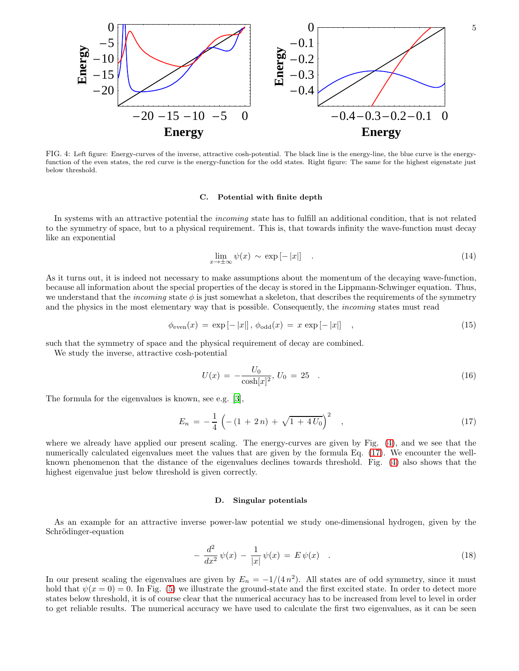

<span id="page-4-0"></span>FIG. 4: Left figure: Energy-curves of the inverse, attractive cosh-potential. The black line is the energy-line, the blue curve is the energyfunction of the even states, the red curve is the energy-function for the odd states. Right figure: The same for the highest eigenstate just below threshold.

### C. Potential with finite depth

In systems with an attractive potential the *incoming* state has to fulfill an additional condition, that is not related to the symmetry of space, but to a physical requirement. This is, that towards infinity the wave-function must decay like an exponential

$$
\lim_{x \to \pm \infty} \psi(x) \sim \exp[-|x|] \quad . \tag{14}
$$

As it turns out, it is indeed not necessary to make assumptions about the momentum of the decaying wave-function, because all information about the special properties of the decay is stored in the Lippmann-Schwinger equation. Thus, we understand that the *incoming* state  $\phi$  is just somewhat a skeleton, that describes the requirements of the symmetry and the physics in the most elementary way that is possible. Consequently, the *incoming* states must read

$$
\phi_{\text{even}}(x) = \exp[-|x|], \phi_{\text{odd}}(x) = x \exp[-|x|], \qquad (15)
$$

such that the symmetry of space and the physical requirement of decay are combined.

We study the inverse, attractive cosh-potential

$$
U(x) = -\frac{U_0}{\cosh[x]^2}, U_0 = 25 \quad . \tag{16}
$$

The formula for the eigenvalues is known, see e.g. [\[3\]](#page-7-1),

<span id="page-4-1"></span>
$$
E_n = -\frac{1}{4} \left( -(1+2n) + \sqrt{1+4U_0} \right)^2 , \qquad (17)
$$

where we already have applied our present scaling. The energy-curves are given by Fig. [\(4\)](#page-4-0), and we see that the numerically calculated eigenvalues meet the values that are given by the formula Eq. [\(17\)](#page-4-1). We encounter the wellknown phenomenon that the distance of the eigenvalues declines towards threshold. Fig. [\(4\)](#page-4-0) also shows that the highest eigenvalue just below threshold is given correctly.

#### D. Singular potentials

As an example for an attractive inverse power-law potential we study one-dimensional hydrogen, given by the Schrödinger-equation

<span id="page-4-2"></span>
$$
-\frac{d^2}{dx^2}\psi(x) - \frac{1}{|x|}\psi(x) = E\psi(x) \quad . \tag{18}
$$

In our present scaling the eigenvalues are given by  $E_n = -1/(4 n^2)$ . All states are of odd symmetry, since it must hold that  $\psi(x=0) = 0$ . In Fig. [\(5\)](#page-5-0) we illustrate the ground-state and the first excited state. In order to detect more states below threshold, it is of course clear that the numerical accuracy has to be increased from level to level in order to get reliable results. The numerical accuracy we have used to calculate the first two eigenvalues, as it can be seen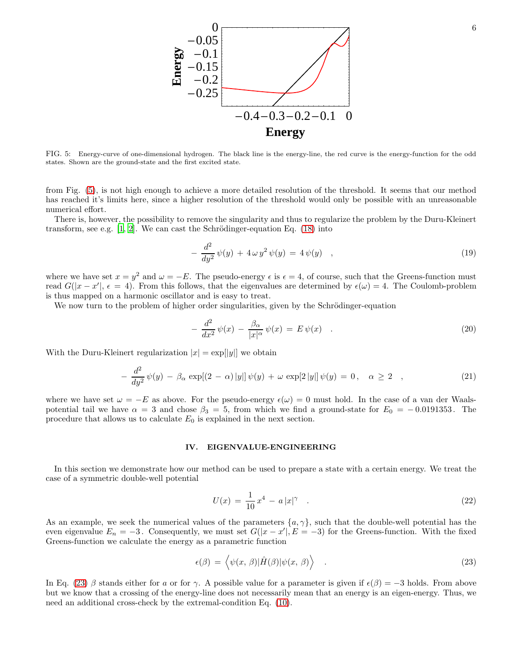

<span id="page-5-0"></span>FIG. 5: Energy-curve of one-dimensional hydrogen. The black line is the energy-line, the red curve is the energy-function for the odd states. Shown are the ground-state and the first excited state.

from Fig. [\(5\)](#page-5-0), is not high enough to achieve a more detailed resolution of the threshold. It seems that our method has reached it's limits here, since a higher resolution of the threshold would only be possible with an unreasonable numerical effort.

There is, however, the possibility to remove the singularity and thus to regularize the problem by the Duru-Kleinert transform, see e.g.  $[1, 2]$  $[1, 2]$ . We can cast the Schrödinger-equation Eq. [\(18\)](#page-4-2) into

$$
-\frac{d^2}{dy^2}\psi(y) + 4\omega y^2 \psi(y) = 4\psi(y) , \qquad (19)
$$

where we have set  $x = y^2$  and  $\omega = -E$ . The pseudo-energy  $\epsilon$  is  $\epsilon = 4$ , of course, such that the Greens-function must read  $G(|x-x'|, \epsilon = 4)$ . From this follows, that the eigenvalues are determined by  $\epsilon(\omega) = 4$ . The Coulomb-problem is thus mapped on a harmonic oscillator and is easy to treat.

We now turn to the problem of higher order singularities, given by the Schrödinger-equation

$$
-\frac{d^2}{dx^2}\psi(x) - \frac{\beta_\alpha}{|x|^\alpha}\psi(x) = E\psi(x) \quad . \tag{20}
$$

With the Duru-Kleinert regularization  $|x| = \exp(|y|)$  we obtain

$$
-\frac{d^2}{dy^2}\psi(y) - \beta_\alpha \exp[(2-\alpha)|y|] \psi(y) + \omega \exp[2|y|] \psi(y) = 0, \quad \alpha \ge 2 \quad , \tag{21}
$$

where we have set  $\omega = -E$  as above. For the pseudo-energy  $\epsilon(\omega) = 0$  must hold. In the case of a van der Waalspotential tail we have  $\alpha = 3$  and chose  $\beta_3 = 5$ , from which we find a ground-state for  $E_0 = -0.0191353$ . The procedure that allows us to calculate  $E_0$  is explained in the next section.

# IV. EIGENVALUE-ENGINEERING

In this section we demonstrate how our method can be used to prepare a state with a certain energy. We treat the case of a symmetric double-well potential

<span id="page-5-2"></span>
$$
U(x) = \frac{1}{10}x^4 - a|x|^\gamma \quad . \tag{22}
$$

As an example, we seek the numerical values of the parameters  $\{a, \gamma\}$ , such that the double-well potential has the even eigenvalue  $E_n = -3$ . Consequently, we must set  $G(|x-x'|, E = -3)$  for the Greens-function. With the fixed Greens-function we calculate the energy as a parametric function

<span id="page-5-1"></span>
$$
\epsilon(\beta) = \left\langle \psi(x,\,\beta) | \hat{H}(\beta) | \psi(x,\,\beta) \right\rangle \tag{23}
$$

In Eq. [\(23\)](#page-5-1) β stands either for a or for  $\gamma$ . A possible value for a parameter is given if  $\epsilon(\beta) = -3$  holds. From above but we know that a crossing of the energy-line does not necessarily mean that an energy is an eigen-energy. Thus, we need an additional cross-check by the extremal-condition Eq. [\(10\)](#page-1-1).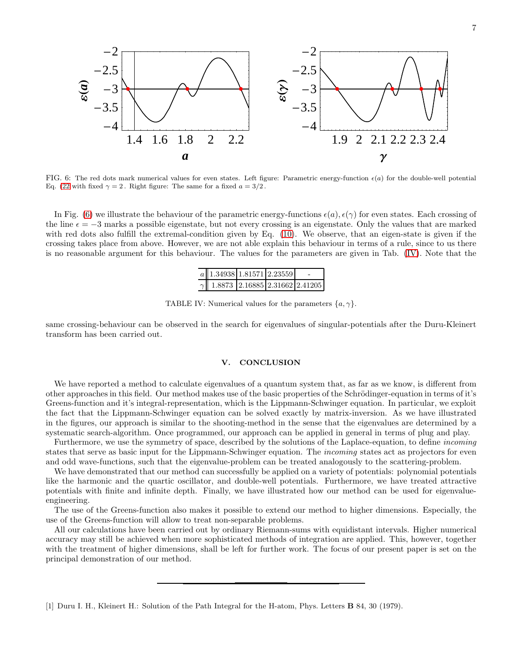



<span id="page-6-1"></span>FIG. 6: The red dots mark numerical values for even states. Left figure: Parametric energy-function  $\epsilon(a)$  for the double-well potential Eq. [\(22](#page-5-2) with fixed  $\gamma = 2$ . Right figure: The same for a fixed  $a = 3/2$ .

In Fig. [\(6\)](#page-6-1) we illustrate the behaviour of the parametric energy-functions  $\epsilon(a), \epsilon(\gamma)$  for even states. Each crossing of the line  $\epsilon = -3$  marks a possible eigenstate, but not every crossing is an eigenstate. Only the values that are marked with red dots also fulfill the extremal-condition given by Eq. [\(10\)](#page-1-1). We observe, that an eigen-state is given if the crossing takes place from above. However, we are not able explain this behaviour in terms of a rule, since to us there is no reasonable argument for this behaviour. The values for the parameters are given in Tab. [\(IV\)](#page-6-2). Note that the

<span id="page-6-2"></span>

| $a$ 1.34938 1.81571 2.23559             |  |  |
|-----------------------------------------|--|--|
| $\gamma$ 1.8873 2.16885 2.31662 2.41205 |  |  |

TABLE IV: Numerical values for the parameters  $\{a, \gamma\}$ .

same crossing-behaviour can be observed in the search for eigenvalues of singular-potentials after the Duru-Kleinert transform has been carried out.

# V. CONCLUSION

We have reported a method to calculate eigenvalues of a quantum system that, as far as we know, is different from other approaches in this field. Our method makes use of the basic properties of the Schrödinger-equation in terms of it's Greens-function and it's integral-representation, which is the Lippmann-Schwinger equation. In particular, we exploit the fact that the Lippmann-Schwinger equation can be solved exactly by matrix-inversion. As we have illustrated in the figures, our approach is similar to the shooting-method in the sense that the eigenvalues are determined by a systematic search-algorithm. Once programmed, our approach can be applied in general in terms of plug and play.

Furthermore, we use the symmetry of space, described by the solutions of the Laplace-equation, to define incoming states that serve as basic input for the Lippmann-Schwinger equation. The incoming states act as projectors for even and odd wave-functions, such that the eigenvalue-problem can be treated analogously to the scattering-problem.

We have demonstrated that our method can successfully be applied on a variety of potentials: polynomial potentials like the harmonic and the quartic oscillator, and double-well potentials. Furthermore, we have treated attractive potentials with finite and infinite depth. Finally, we have illustrated how our method can be used for eigenvalueengineering.

The use of the Greens-function also makes it possible to extend our method to higher dimensions. Especially, the use of the Greens-function will allow to treat non-separable problems.

All our calculations have been carried out by ordinary Riemann-sums with equidistant intervals. Higher numerical accuracy may still be achieved when more sophisticated methods of integration are applied. This, however, together with the treatment of higher dimensions, shall be left for further work. The focus of our present paper is set on the principal demonstration of our method.

<span id="page-6-0"></span><sup>[1]</sup> Duru I. H., Kleinert H.: Solution of the Path Integral for the H-atom, Phys. Letters B 84, 30 (1979).